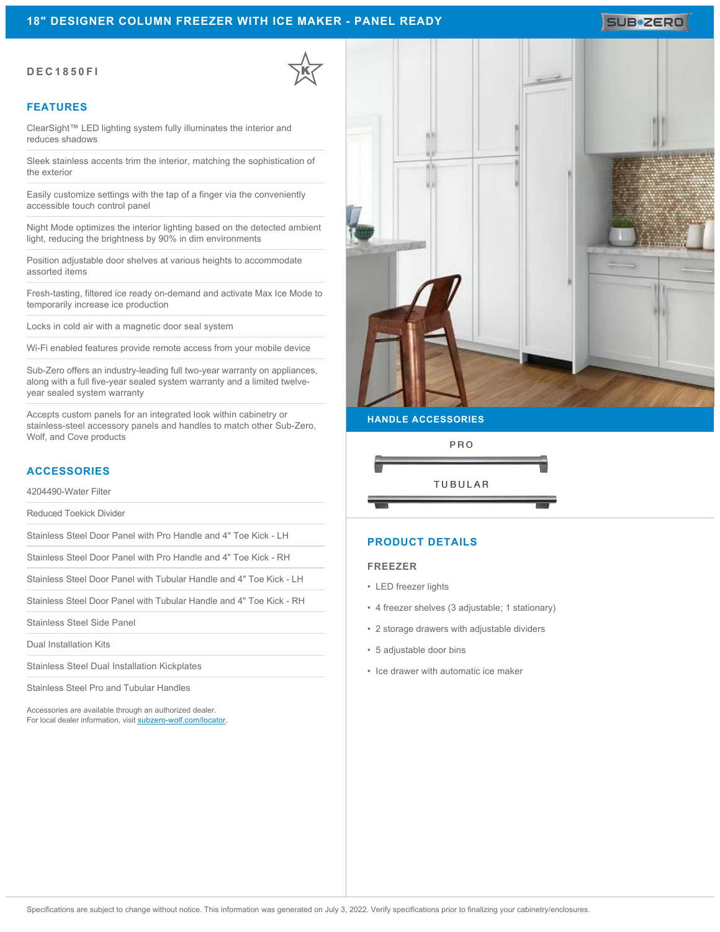### **18" DESIGNER COLUMN FREEZER WITH ICE MAKER - PANEL READY**

# SUB**\*ZERO**

#### **DEC1850FI**

#### **FEATURES**

ClearSight™ LED lighting system fully illuminates the interior and reduces shadows

Sleek stainless accents trim the interior, matching the sophistication of the exterior

Easily customize settings with the tap of a finger via the conveniently accessible touch control panel

Night Mode optimizes the interior lighting based on the detected ambient light, reducing the brightness by 90% in dim environments

Position adjustable door shelves at various heights to accommodate assorted items

Fresh-tasting, filtered ice ready on-demand and activate Max Ice Mode to temporarily increase ice production

Locks in cold air with a magnetic door seal system

Wi-Fi enabled features provide remote access from your mobile device

Sub-Zero offers an industry-leading full two-year warranty on appliances, along with a full five-year sealed system warranty and a limited twelveyear sealed system warranty

Accepts custom panels for an integrated look within cabinetry or stainless-steel accessory panels and handles to match other Sub-Zero, Wolf, and Cove products

# **ACCESSORIES**

4204490-Water Filter

Reduced Toekick Divider

Stainless Steel Door Panel with Pro Handle and 4" Toe Kick - LH

Stainless Steel Door Panel with Pro Handle and 4" Toe Kick - RH

Stainless Steel Door Panel with Tubular Handle and 4" Toe Kick - LH

Stainless Steel Door Panel with Tubular Handle and 4" Toe Kick - RH

Stainless Steel Side Panel

Dual Installation Kits

Stainless Steel Dual Installation Kickplates

Stainless Steel Pro and Tubular Handles

Accessories are available through an authorized dealer. For local dealer information, visit [subzero-wolf.com/locator.](http://www.subzero-wolf.com/locator)



**HANDLE ACCESSORIES**



# **PRODUCT DETAILS**

#### **FREEZER**

- LED freezer lights
- 4 freezer shelves (3 adjustable; 1 stationary)
- 2 storage drawers with adjustable dividers
- 5 adjustable door bins
- Ice drawer with automatic ice maker